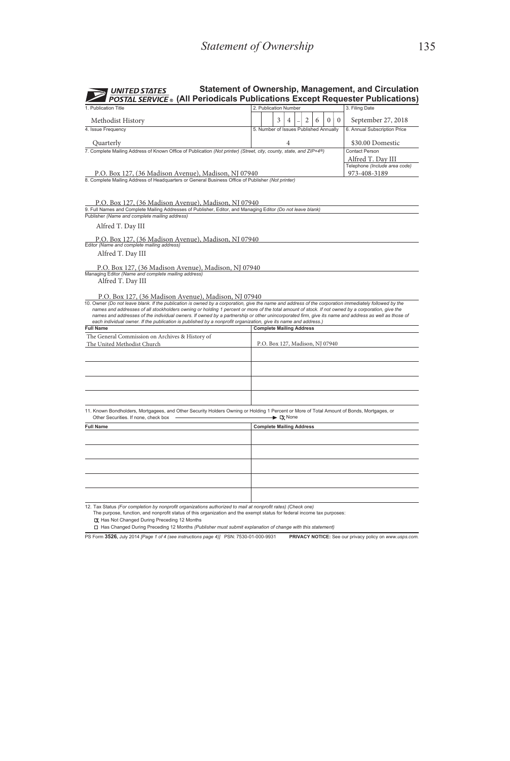| <b>UNITED STATES</b><br><b>POSTAL SERVICE</b> ® (All Periodicals Publications Except Requester Publications)                                                                                                                                                                                                                                                                                                                                                                                                                                                                                                                                                  |                                 |                                        |                                   |   |  |   |   |          |              | Statement of Ownership, Management, and Circulation                |
|---------------------------------------------------------------------------------------------------------------------------------------------------------------------------------------------------------------------------------------------------------------------------------------------------------------------------------------------------------------------------------------------------------------------------------------------------------------------------------------------------------------------------------------------------------------------------------------------------------------------------------------------------------------|---------------------------------|----------------------------------------|-----------------------------------|---|--|---|---|----------|--------------|--------------------------------------------------------------------|
| 1 Publication Title                                                                                                                                                                                                                                                                                                                                                                                                                                                                                                                                                                                                                                           |                                 | 2. Publication Number                  |                                   |   |  |   |   |          |              | 3. Filing Date                                                     |
| Methodist History                                                                                                                                                                                                                                                                                                                                                                                                                                                                                                                                                                                                                                             |                                 |                                        | 3                                 | 4 |  | 2 | 6 | $\bf{0}$ | $\mathbf{0}$ | September 27, 2018                                                 |
| 4. Issue Frequency                                                                                                                                                                                                                                                                                                                                                                                                                                                                                                                                                                                                                                            |                                 | 5. Number of Issues Published Annually |                                   |   |  |   |   |          |              | 6. Annual Subscription Price                                       |
|                                                                                                                                                                                                                                                                                                                                                                                                                                                                                                                                                                                                                                                               |                                 |                                        |                                   |   |  |   |   |          |              |                                                                    |
| Quarterly<br>7. Complete Mailing Address of Known Office of Publication (Not printer) (Street, city, county, state, and ZIP+4®)                                                                                                                                                                                                                                                                                                                                                                                                                                                                                                                               |                                 |                                        |                                   | 4 |  |   |   |          |              | \$30.00 Domestic<br>Contact Person                                 |
| P.O. Box 127, (36 Madison Avenue), Madison, NJ 07940<br>8. Complete Mailing Address of Headquarters or General Business Office of Publisher (Not printer)                                                                                                                                                                                                                                                                                                                                                                                                                                                                                                     |                                 |                                        |                                   |   |  |   |   |          |              | Alfred T. Dav III<br>Telephone (Include area code)<br>973-408-3189 |
| P.O. Box 127, (36 Madison Avenue), Madison, NJ 07940<br>9. Full Names and Complete Mailing Addresses of Publisher, Editor, and Managing Editor (Do not leave blank)<br>Publisher (Name and complete mailing address)<br>Alfred T. Day III                                                                                                                                                                                                                                                                                                                                                                                                                     |                                 |                                        |                                   |   |  |   |   |          |              |                                                                    |
| P.O. Box 127, (36 Madison Avenue), Madison, NJ 07940<br>Editor (Name and complete mailing address)                                                                                                                                                                                                                                                                                                                                                                                                                                                                                                                                                            |                                 |                                        |                                   |   |  |   |   |          |              |                                                                    |
| Alfred T. Day III                                                                                                                                                                                                                                                                                                                                                                                                                                                                                                                                                                                                                                             |                                 |                                        |                                   |   |  |   |   |          |              |                                                                    |
| P.O. Box 127, (36 Madison Avenue), Madison, NJ 07940<br>Managing Editor (Name and complete mailing address)<br>Alfred T. Day III<br>P.O. Box 127, (36 Madison Avenue), Madison, NJ 07940<br>10. Owner (Do not leave blank. If the publication is owned by a corporation, give the name and address of the corporation immediately followed by the<br>names and addresses of all stockholders owning or holding 1 percent or more of the total amount of stock. If not owned by a corporation, give the<br>names and addresses of the individual owners. If owned by a partnership or other unincorporated firm, give its name and address as well as those of |                                 |                                        |                                   |   |  |   |   |          |              |                                                                    |
| each individual owner. If the publication is published by a nonprofit organization, give its name and address.)<br><b>Full Name</b>                                                                                                                                                                                                                                                                                                                                                                                                                                                                                                                           |                                 | <b>Complete Mailing Address</b>        |                                   |   |  |   |   |          |              |                                                                    |
| The General Commission on Archives & History of                                                                                                                                                                                                                                                                                                                                                                                                                                                                                                                                                                                                               |                                 |                                        |                                   |   |  |   |   |          |              |                                                                    |
| The United Methodist Church                                                                                                                                                                                                                                                                                                                                                                                                                                                                                                                                                                                                                                   |                                 | P.O. Box 127, Madison, NJ 07940        |                                   |   |  |   |   |          |              |                                                                    |
|                                                                                                                                                                                                                                                                                                                                                                                                                                                                                                                                                                                                                                                               |                                 |                                        |                                   |   |  |   |   |          |              |                                                                    |
| 11. Known Bondholders, Mortgagees, and Other Security Holders Owning or Holding 1 Percent or More of Total Amount of Bonds, Mortgages, or<br>Other Securities. If none, check box                                                                                                                                                                                                                                                                                                                                                                                                                                                                             |                                 |                                        | $\blacktriangleright \Box x$ None |   |  |   |   |          |              |                                                                    |
| <b>Full Name</b>                                                                                                                                                                                                                                                                                                                                                                                                                                                                                                                                                                                                                                              | <b>Complete Mailing Address</b> |                                        |                                   |   |  |   |   |          |              |                                                                    |
|                                                                                                                                                                                                                                                                                                                                                                                                                                                                                                                                                                                                                                                               |                                 |                                        |                                   |   |  |   |   |          |              |                                                                    |
|                                                                                                                                                                                                                                                                                                                                                                                                                                                                                                                                                                                                                                                               |                                 |                                        |                                   |   |  |   |   |          |              |                                                                    |
|                                                                                                                                                                                                                                                                                                                                                                                                                                                                                                                                                                                                                                                               |                                 |                                        |                                   |   |  |   |   |          |              |                                                                    |
|                                                                                                                                                                                                                                                                                                                                                                                                                                                                                                                                                                                                                                                               |                                 |                                        |                                   |   |  |   |   |          |              |                                                                    |
|                                                                                                                                                                                                                                                                                                                                                                                                                                                                                                                                                                                                                                                               |                                 |                                        |                                   |   |  |   |   |          |              |                                                                    |

The purpose, function, and nonprofit status of this organization and the exempt status for federal income tax purposes<br>Lχ Has Not Changed During Preceding 12 Months

Has Not Changed During Preceding 12 Months Has Changed During Preceding 12 Months *(Publisher must submit explanation of change with this statement)*

PS Form **3526,** July 2014 *[Page 1 of 4 (see instructions page 4)]* PSN: 7530-01-000-9931 **PRIVACY NOTICE:** See our privacy policy on *www.usps.com.*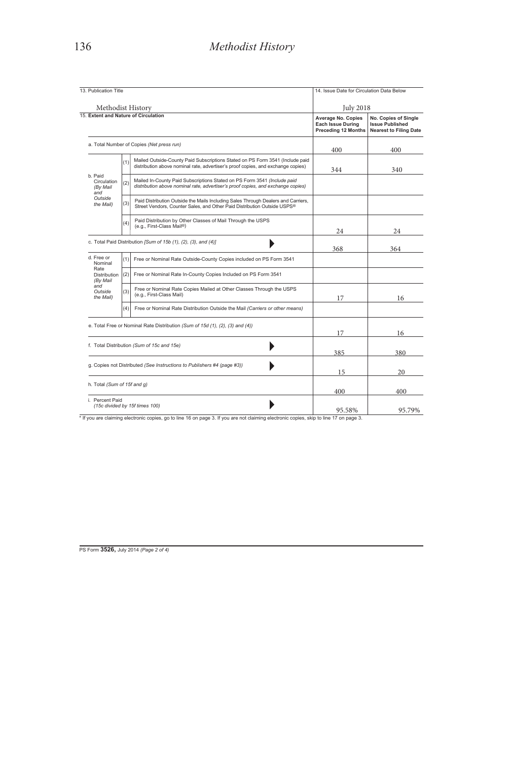| 13. Publication Title |                                                                                                                                                                   | 14. Issue Date for Circulation Data Below                                                                                                                                                                                                                                                              |                                                                                 |  |  |  |
|-----------------------|-------------------------------------------------------------------------------------------------------------------------------------------------------------------|--------------------------------------------------------------------------------------------------------------------------------------------------------------------------------------------------------------------------------------------------------------------------------------------------------|---------------------------------------------------------------------------------|--|--|--|
| Methodist History     |                                                                                                                                                                   | <b>July 2018</b>                                                                                                                                                                                                                                                                                       |                                                                                 |  |  |  |
|                       |                                                                                                                                                                   | <b>Average No. Copies</b><br><b>Each Issue During</b><br><b>Preceding 12 Months</b>                                                                                                                                                                                                                    | No. Copies of Single<br><b>Issue Published</b><br><b>Nearest to Filing Date</b> |  |  |  |
|                       |                                                                                                                                                                   | 400                                                                                                                                                                                                                                                                                                    | 400                                                                             |  |  |  |
| (1)                   | Mailed Outside-County Paid Subscriptions Stated on PS Form 3541 (Include paid<br>distribution above nominal rate, advertiser's proof copies, and exchange copies) | 344                                                                                                                                                                                                                                                                                                    | 340                                                                             |  |  |  |
| (2)                   | Mailed In-County Paid Subscriptions Stated on PS Form 3541 (Include paid<br>distribution above nominal rate, advertiser's proof copies, and exchange copies)      |                                                                                                                                                                                                                                                                                                        |                                                                                 |  |  |  |
| (3)                   | Paid Distribution Outside the Mails Including Sales Through Dealers and Carriers,<br>Street Vendors, Counter Sales, and Other Paid Distribution Outside USPS®     |                                                                                                                                                                                                                                                                                                        |                                                                                 |  |  |  |
| (4)                   | Paid Distribution by Other Classes of Mail Through the USPS<br>(e.g., First-Class Mail®)                                                                          | 24                                                                                                                                                                                                                                                                                                     | 24                                                                              |  |  |  |
|                       |                                                                                                                                                                   | 368                                                                                                                                                                                                                                                                                                    | 364                                                                             |  |  |  |
|                       | Free or Nominal Rate Outside-County Copies included on PS Form 3541                                                                                               |                                                                                                                                                                                                                                                                                                        |                                                                                 |  |  |  |
|                       | Free or Nominal Rate In-County Copies Included on PS Form 3541                                                                                                    |                                                                                                                                                                                                                                                                                                        |                                                                                 |  |  |  |
| (3)                   | Free or Nominal Rate Copies Mailed at Other Classes Through the USPS<br>(e.g., First-Class Mail)                                                                  | 17                                                                                                                                                                                                                                                                                                     | 16                                                                              |  |  |  |
|                       | Free or Nominal Rate Distribution Outside the Mail (Carriers or other means)                                                                                      |                                                                                                                                                                                                                                                                                                        |                                                                                 |  |  |  |
|                       |                                                                                                                                                                   | 17                                                                                                                                                                                                                                                                                                     | 16                                                                              |  |  |  |
|                       |                                                                                                                                                                   | 385                                                                                                                                                                                                                                                                                                    | 380                                                                             |  |  |  |
|                       |                                                                                                                                                                   |                                                                                                                                                                                                                                                                                                        |                                                                                 |  |  |  |
|                       | g. Copies not Distributed (See Instructions to Publishers #4 (page #3))                                                                                           | 15                                                                                                                                                                                                                                                                                                     | 20                                                                              |  |  |  |
|                       | h. Total (Sum of 15f and g)                                                                                                                                       | 400                                                                                                                                                                                                                                                                                                    | 400                                                                             |  |  |  |
| Distribution          |                                                                                                                                                                   | 15 Extent and Nature of Circulation<br>a. Total Number of Copies (Net press run)<br>c. Total Paid Distribution [Sum of 15b (1), (2), (3), and (4)]<br>(1)<br>(2)<br>(4)<br>e. Total Free or Nominal Rate Distribution (Sum of 15d (1), (2), (3) and (4))<br>f. Total Distribution (Sum of 15c and 15e) |                                                                                 |  |  |  |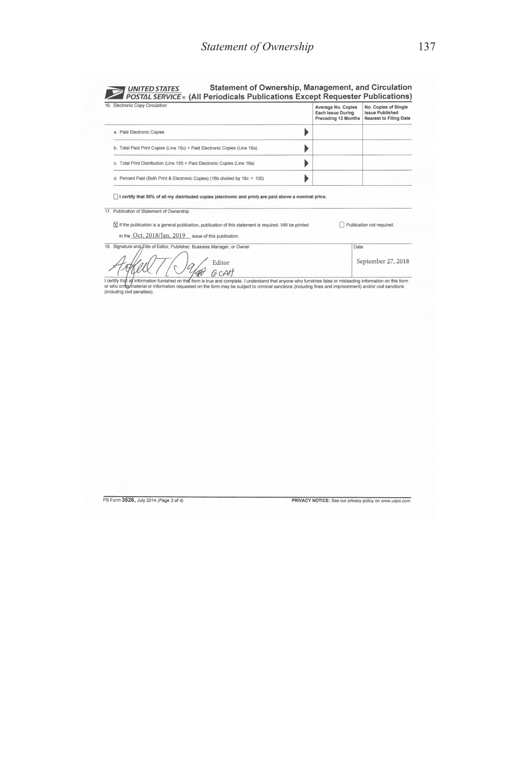| Statement of Ownership, Management, and Circulation<br><b>UNITED STATES</b><br>POSTAL SERVICE ® (All Periodicals Publications Except Requester Publications) |                                                                |                                                                                 |  |  |  |
|--------------------------------------------------------------------------------------------------------------------------------------------------------------|----------------------------------------------------------------|---------------------------------------------------------------------------------|--|--|--|
| 16. Electronic Copy Circulation                                                                                                                              | Average No. Copies<br>Each Issue During<br>Preceding 12 Months | No. Copies of Single<br><b>Issue Published</b><br><b>Nearest to Filing Date</b> |  |  |  |
| a. Paid Electronic Copies                                                                                                                                    |                                                                |                                                                                 |  |  |  |
| b. Total Paid Print Copies (Line 15c) + Paid Electronic Copies (Line 16a)                                                                                    |                                                                |                                                                                 |  |  |  |
| c. Total Print Distribution (Line 15f) + Paid Electronic Copies (Line 16a)                                                                                   |                                                                |                                                                                 |  |  |  |
| d. Percent Paid (Both Print & Electronic Copies) (16b divided by 16c × 100)                                                                                  |                                                                |                                                                                 |  |  |  |

□ I certify that 50% of all my distributed copies (electronic and print) are paid above a nominal price.

17. Publication of Statement of Ownership

 $\overline{\mathbb{X}}$  if the publication is a general publication, publication of this statement is required. Will be printed Publication not required.

Date

September 27, 2018

18. Signature and Title of Editor, Publisher, Business Manager, or Owner  $\angle$  Editor

in the Oct. 2018/Jan. 2019 issue of this publication.

 $\n \ \ \, \textrm{JQICIC} \ \ \, \textrm{JQICIC} \ \ \, \textrm{JQICIC} \ \ \, \textrm{JQICIC} \ \ \, \textrm{JQICIC} \ \, \textrm{JQICIC} \ \, \textrm{JQICIC} \ \, \textrm{JQICIC} \ \, \textrm{JQICIC} \ \, \textrm{JQICIC} \ \, \textrm{JQICIC} \ \, \textrm{JQICIC} \ \, \textrm{JQICIC} \ \, \textrm{JQICIC} \ \, \textrm{JQIC$ 

PS Form 3526, July 2014 (Page 3 of 4)

PRIVACY NOTICE: See our privacy policy on www.usps.com.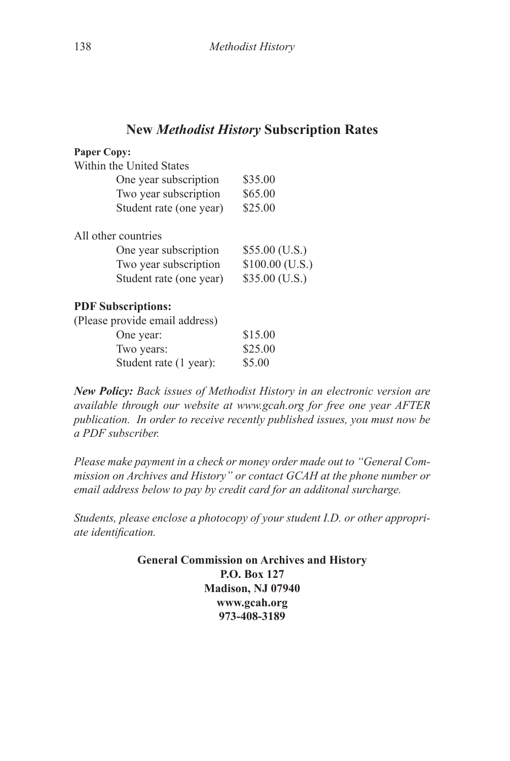## **New** *Methodist History* **Subscription Rates**

| <b>Paper Copy:</b>             |                  |
|--------------------------------|------------------|
| Within the United States       |                  |
| One year subscription          | \$35.00          |
| Two year subscription          | \$65.00          |
| Student rate (one year)        | \$25.00          |
| All other countries            |                  |
| One year subscription          | $$55.00$ (U.S.)  |
| Two year subscription          | $$100.00$ (U.S.) |
| Student rate (one year)        | $$35.00$ (U.S.)  |
| <b>PDF</b> Subscriptions:      |                  |
| (Please provide email address) |                  |
| One year:                      | \$15.00          |
| Two years:                     | \$25.00          |
| Student rate (1 year):         | \$5.00           |

*New Policy: Back issues of Methodist History in an electronic version are available through our website at www.gcah.org for free one year AFTER publication. In order to receive recently published issues, you must now be a PDF subscriber.*

*Please make payment in a check or money order made out to "General Commission on Archives and History" or contact GCAH at the phone number or email address below to pay by credit card for an additonal surcharge.* 

*Students, please enclose a photocopy of your student I.D. or other appropriate identification.*

> **General Commission on Archives and History P.O. Box 127 Madison, NJ 07940 www.gcah.org 973-408-3189**